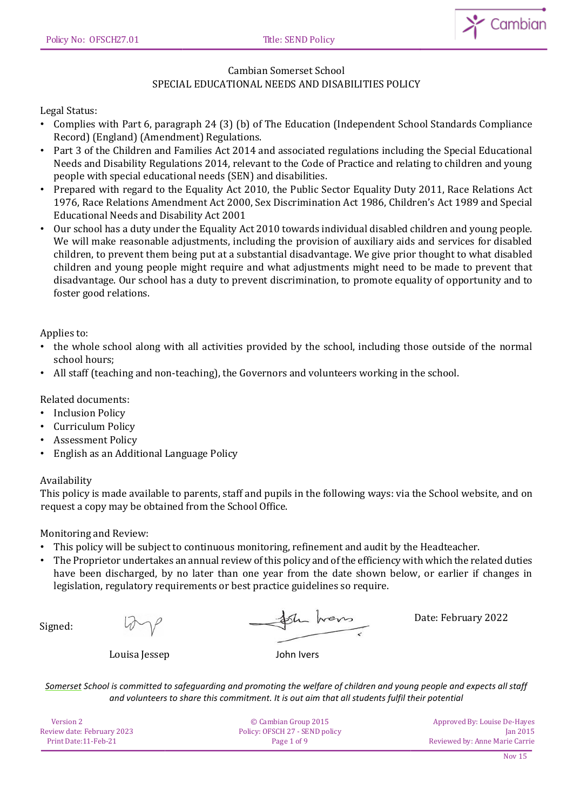

# Cambian Somerset School SPECIAL EDUCATIONAL NEEDS AND DISABILITIES POLICY

## Legal Status:

- Complies with Part 6, paragraph 24 (3) (b) of The Education (Independent School Standards Compliance Record) (England) (Amendment) Regulations.
- Part 3 of the Children and Families Act 2014 and associated regulations including the Special Educational Needs and Disability Regulations 2014, relevant to the Code of Practice and relating to children and young people with special educational needs (SEN) and disabilities.
- Prepared with regard to the Equality Act 2010, the Public Sector Equality Duty 2011, Race Relations Act 1976, Race Relations Amendment Act 2000, Sex Discrimination Act 1986, Children's Act 1989 and Special Educational Needs and Disability Act 2001
- Our school has a duty under the Equality Act 2010 towards individual disabled children and young people. We will make reasonable adjustments, including the provision of auxiliary aids and services for disabled children, to prevent them being put at a substantial disadvantage. We give prior thought to what disabled children and young people might require and what adjustments might need to be made to prevent that disadvantage. Our school has a duty to prevent discrimination, to promote equality of opportunity and to foster good relations.

Applies to:

- the whole school along with all activities provided by the school, including those outside of the normal school hours;
- All staff (teaching and non-teaching), the Governors and volunteers working in the school.

Related documents:

- Inclusion Policy
- Curriculum Policy
- Assessment Policy
- English as an Additional Language Policy

#### Availability

This policy is made available to parents, staff and pupils in the following ways: via the School website, and on request a copy may be obtained from the School Office.

Monitoring and Review:

- This policy will be subject to continuous monitoring, refinement and audit by the Headteacher.
- The Proprietor undertakes an annual review of this policy and of the efficiency with which the related duties have been discharged, by no later than one year from the date shown below, or earlier if changes in legislation, regulatory requirements or best practice guidelines so require.

Signed:

the trens

Date: February 2022

Louisa Jessep John Ivers

| Version 2                  | © Cambian Group 2015           | Approved By: Louise De-Hayes   |
|----------------------------|--------------------------------|--------------------------------|
| Review date: February 2023 | Policy: OFSCH 27 - SEND policy | <b>Ian 2015</b>                |
| Print Date:11-Feb-21       | Page 1 of 9                    | Reviewed by: Anne Marie Carrie |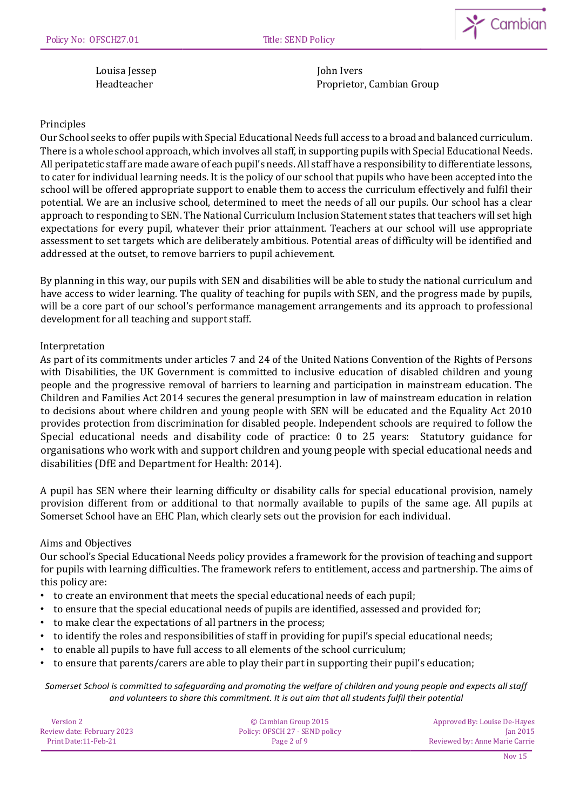

Louisa Jessep John Ivers

Headteacher Proprietor, Cambian Group

## Principles

Our School seeks to offer pupils with Special Educational Needs full access to a broad and balanced curriculum. There is a whole school approach, which involves all staff, in supporting pupils with Special Educational Needs. All peripatetic staff are made aware of each pupil's needs. All staff have a responsibility to differentiate lessons, to cater for individual learning needs. It is the policy of our school that pupils who have been accepted into the school will be offered appropriate support to enable them to access the curriculum effectively and fulfil their potential. We are an inclusive school, determined to meet the needs of all our pupils. Our school has a clear approach to responding to SEN. The National Curriculum Inclusion Statement states that teachers will set high expectations for every pupil, whatever their prior attainment. Teachers at our school will use appropriate assessment to set targets which are deliberately ambitious. Potential areas of difficulty will be identified and addressed at the outset, to remove barriers to pupil achievement.

By planning in this way, our pupils with SEN and disabilities will be able to study the national curriculum and have access to wider learning. The quality of teaching for pupils with SEN, and the progress made by pupils, will be a core part of our school's performance management arrangements and its approach to professional development for all teaching and support staff.

## Interpretation

As part of its commitments under articles 7 and 24 of the United Nations Convention of the Rights of Persons with Disabilities, the UK Government is committed to inclusive education of disabled children and young people and the progressive removal of barriers to learning and participation in mainstream education. The Children and Families Act 2014 secures the general presumption in law of mainstream education in relation to decisions about where children and young people with SEN will be educated and the Equality Act 2010 provides protection from discrimination for disabled people. Independent schools are required to follow the Special educational needs and disability code of practice: 0 to 25 years: Statutory guidance for organisations who work with and support children and young people with special educational needs and disabilities (DfE and Department for Health: 2014).

A pupil has SEN where their learning difficulty or disability calls for special educational provision, namely provision different from or additional to that normally available to pupils of the same age. All pupils at Somerset School have an EHC Plan, which clearly sets out the provision for each individual.

## Aims and Objectives

Our school's Special Educational Needs policy provides a framework for the provision of teaching and support for pupils with learning difficulties. The framework refers to entitlement, access and partnership. The aims of this policy are:

- to create an environment that meets the special educational needs of each pupil;
- to ensure that the special educational needs of pupils are identified, assessed and provided for;
- to make clear the expectations of all partners in the process;
- to identify the roles and responsibilities of staff in providing for pupil's special educational needs;
- to enable all pupils to have full access to all elements of the school curriculum;
- to ensure that parents/carers are able to play their part in supporting their pupil's education;

| Version 2                  | © Cambian Group 2015           | Approved By: Louise De-Hayes   |
|----------------------------|--------------------------------|--------------------------------|
| Review date: February 2023 | Policy: OFSCH 27 - SEND policy | <b>Ian 2015</b>                |
| Print Date: 11-Feb-21      | Page 2 of 9                    | Reviewed by: Anne Marie Carrie |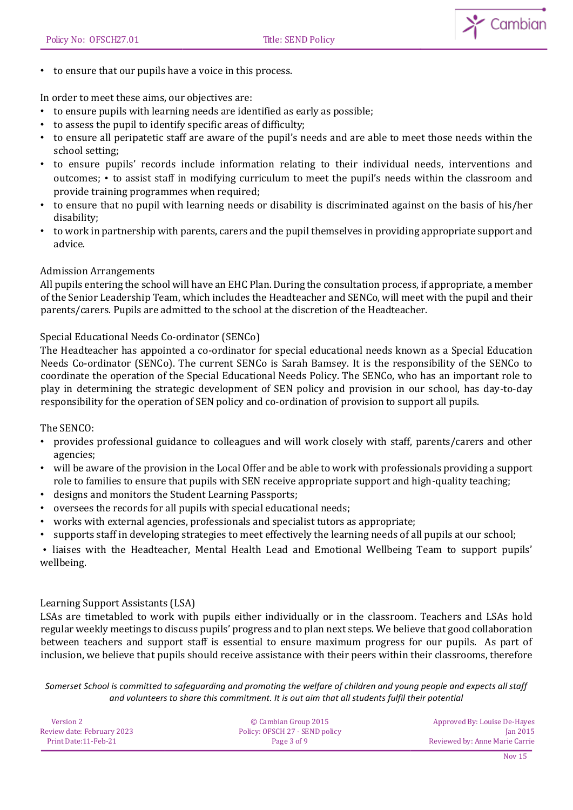

• to ensure that our pupils have a voice in this process.

In order to meet these aims, our objectives are:

- to ensure pupils with learning needs are identified as early as possible;
- to assess the pupil to identify specific areas of difficulty;
- to ensure all peripatetic staff are aware of the pupil's needs and are able to meet those needs within the school setting;
- to ensure pupils' records include information relating to their individual needs, interventions and outcomes; • to assist staff in modifying curriculum to meet the pupil's needs within the classroom and provide training programmes when required;
- to ensure that no pupil with learning needs or disability is discriminated against on the basis of his/her disability;
- to work in partnership with parents, carers and the pupil themselves in providing appropriate support and advice.

#### Admission Arrangements

All pupils entering the school will have an EHC Plan. During the consultation process, if appropriate, a member of the Senior Leadership Team, which includes the Headteacher and SENCo, will meet with the pupil and their parents/carers. Pupils are admitted to the school at the discretion of the Headteacher.

### Special Educational Needs Co-ordinator (SENCo)

The Headteacher has appointed a co-ordinator for special educational needs known as a Special Education Needs Co-ordinator (SENCo). The current SENCo is Sarah Bamsey. It is the responsibility of the SENCo to coordinate the operation of the Special Educational Needs Policy. The SENCo, who has an important role to play in determining the strategic development of SEN policy and provision in our school, has day-to-day responsibility for the operation of SEN policy and co-ordination of provision to support all pupils.

The SENCO:

- provides professional guidance to colleagues and will work closely with staff, parents/carers and other agencies;
- will be aware of the provision in the Local Offer and be able to work with professionals providing a support role to families to ensure that pupils with SEN receive appropriate support and high-quality teaching;
- designs and monitors the Student Learning Passports;
- oversees the records for all pupils with special educational needs;
- works with external agencies, professionals and specialist tutors as appropriate;
- supports staff in developing strategies to meet effectively the learning needs of all pupils at our school;

• liaises with the Headteacher, Mental Health Lead and Emotional Wellbeing Team to support pupils' wellbeing.

#### Learning Support Assistants (LSA)

LSAs are timetabled to work with pupils either individually or in the classroom. Teachers and LSAs hold regular weekly meetings to discuss pupils' progress and to plan next steps. We believe that good collaboration between teachers and support staff is essential to ensure maximum progress for our pupils. As part of inclusion, we believe that pupils should receive assistance with their peers within their classrooms, therefore

| Version 2                  | © Cambian Group 2015           | Approved By: Louise De-Hayes   |
|----------------------------|--------------------------------|--------------------------------|
| Review date: February 2023 | Policy: OFSCH 27 - SEND policy | <b>Ian 2015</b>                |
| Print Date: 11-Feb-21      | Page 3 of 9                    | Reviewed by: Anne Marie Carrie |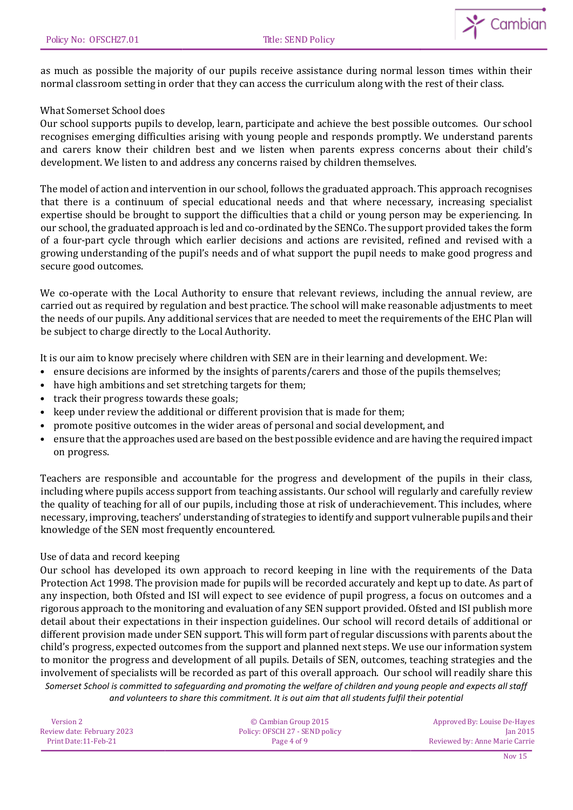

as much as possible the majority of our pupils receive assistance during normal lesson times within their normal classroom setting in order that they can access the curriculum along with the rest of their class.

### What Somerset School does

Our school supports pupils to develop, learn, participate and achieve the best possible outcomes. Our school recognises emerging difficulties arising with young people and responds promptly. We understand parents and carers know their children best and we listen when parents express concerns about their child's development. We listen to and address any concerns raised by children themselves.

The model of action and intervention in our school, follows the graduated approach. This approach recognises that there is a continuum of special educational needs and that where necessary, increasing specialist expertise should be brought to support the difficulties that a child or young person may be experiencing. In our school, the graduated approach is led and co-ordinated by the SENCo. The support provided takes the form of a four-part cycle through which earlier decisions and actions are revisited, refined and revised with a growing understanding of the pupil's needs and of what support the pupil needs to make good progress and secure good outcomes.

We co-operate with the Local Authority to ensure that relevant reviews, including the annual review, are carried out as required by regulation and best practice. The school will make reasonable adjustments to meet the needs of our pupils. Any additional services that are needed to meet the requirements of the EHC Plan will be subject to charge directly to the Local Authority.

It is our aim to know precisely where children with SEN are in their learning and development. We:

- ensure decisions are informed by the insights of parents/carers and those of the pupils themselves;
- have high ambitions and set stretching targets for them;
- track their progress towards these goals;
- keep under review the additional or different provision that is made for them;
- promote positive outcomes in the wider areas of personal and social development, and
- ensure that the approaches used are based on the best possible evidence and are having the required impact on progress.

Teachers are responsible and accountable for the progress and development of the pupils in their class, including where pupils access support from teaching assistants. Our school will regularly and carefully review the quality of teaching for all of our pupils, including those at risk of underachievement. This includes, where necessary, improving, teachers' understanding of strategies to identify and support vulnerable pupils and their knowledge of the SEN most frequently encountered.

#### Use of data and record keeping

*Somerset School is committed to safeguarding and promoting the welfare of children and young people and expects all staff and volunteers to share this commitment. It is out aim that all students fulfil their potential* Our school has developed its own approach to record keeping in line with the requirements of the Data Protection Act 1998. The provision made for pupils will be recorded accurately and kept up to date. As part of any inspection, both Ofsted and ISI will expect to see evidence of pupil progress, a focus on outcomes and a rigorous approach to the monitoring and evaluation of any SEN support provided. Ofsted and ISI publish more detail about their expectations in their inspection guidelines. Our school will record details of additional or different provision made under SEN support. This will form part of regular discussions with parents about the child's progress, expected outcomes from the support and planned next steps. We use our information system to monitor the progress and development of all pupils. Details of SEN, outcomes, teaching strategies and the involvement of specialists will be recorded as part of this overall approach. Our school will readily share this

| Version 2                  | © Cambian Group 2015           | Approved By: Louise De-Hayes   |
|----------------------------|--------------------------------|--------------------------------|
| Review date: February 2023 | Policy: OFSCH 27 - SEND policy | $\tan 2015$                    |
| Print Date:11-Feb-21       | Page 4 of 9                    | Reviewed by: Anne Marie Carrie |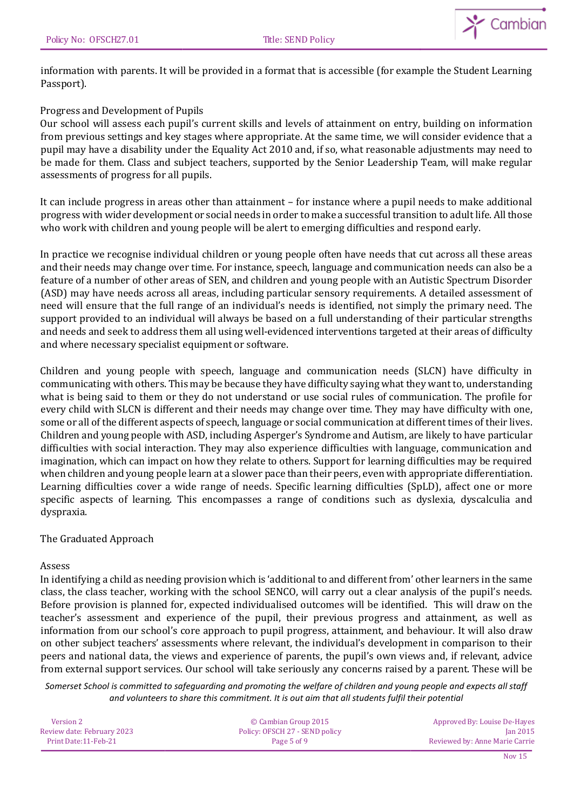

information with parents. It will be provided in a format that is accessible (for example the Student Learning Passport).

## Progress and Development of Pupils

Our school will assess each pupil's current skills and levels of attainment on entry, building on information from previous settings and key stages where appropriate. At the same time, we will consider evidence that a pupil may have a disability under the Equality Act 2010 and, if so, what reasonable adjustments may need to be made for them. Class and subject teachers, supported by the Senior Leadership Team, will make regular assessments of progress for all pupils.

It can include progress in areas other than attainment – for instance where a pupil needs to make additional progress with wider development or social needs in order to make a successful transition to adult life. All those who work with children and young people will be alert to emerging difficulties and respond early.

In practice we recognise individual children or young people often have needs that cut across all these areas and their needs may change over time. For instance, speech, language and communication needs can also be a feature of a number of other areas of SEN, and children and young people with an Autistic Spectrum Disorder (ASD) may have needs across all areas, including particular sensory requirements. A detailed assessment of need will ensure that the full range of an individual's needs is identified, not simply the primary need. The support provided to an individual will always be based on a full understanding of their particular strengths and needs and seek to address them all using well-evidenced interventions targeted at their areas of difficulty and where necessary specialist equipment or software.

Children and young people with speech, language and communication needs (SLCN) have difficulty in communicating with others. This may be because they have difficulty saying what they want to, understanding what is being said to them or they do not understand or use social rules of communication. The profile for every child with SLCN is different and their needs may change over time. They may have difficulty with one, some or all of the different aspects of speech, language or social communication at different times of their lives. Children and young people with ASD, including Asperger's Syndrome and Autism, are likely to have particular difficulties with social interaction. They may also experience difficulties with language, communication and imagination, which can impact on how they relate to others. Support for learning difficulties may be required when children and young people learn at a slower pace than their peers, even with appropriate differentiation. Learning difficulties cover a wide range of needs. Specific learning difficulties (SpLD), affect one or more specific aspects of learning. This encompasses a range of conditions such as dyslexia, dyscalculia and dyspraxia.

## The Graduated Approach

#### Assess

In identifying a child as needing provision which is 'additional to and different from' other learners in the same class, the class teacher, working with the school SENCO, will carry out a clear analysis of the pupil's needs. Before provision is planned for, expected individualised outcomes will be identified. This will draw on the teacher's assessment and experience of the pupil, their previous progress and attainment, as well as information from our school's core approach to pupil progress, attainment, and behaviour. It will also draw on other subject teachers' assessments where relevant, the individual's development in comparison to their peers and national data, the views and experience of parents, the pupil's own views and, if relevant, advice from external support services. Our school will take seriously any concerns raised by a parent. These will be

| Version 2                  | © Cambian Group 2015           | Approved By: Louise De-Hayes   |
|----------------------------|--------------------------------|--------------------------------|
| Review date: February 2023 | Policy: OFSCH 27 - SEND policy | <b>Ian 2015</b>                |
| Print Date: 11-Feb-21      | Page 5 of 9                    | Reviewed by: Anne Marie Carrie |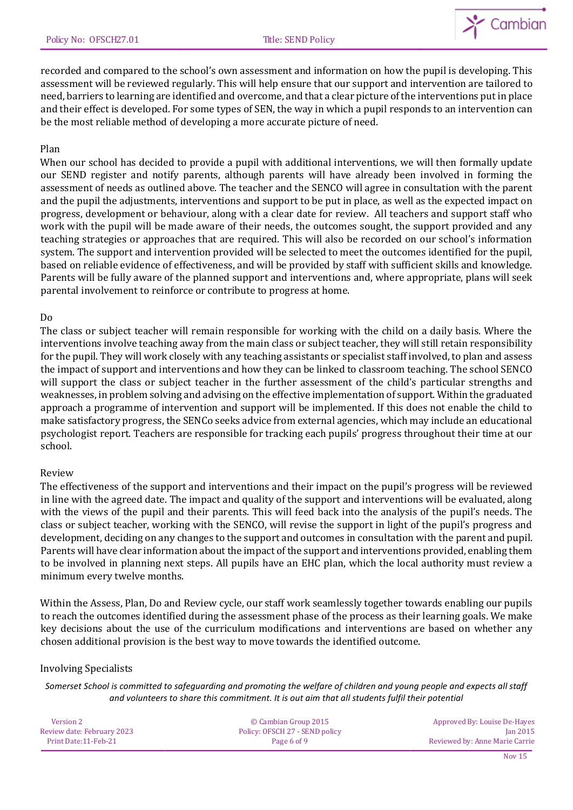

recorded and compared to the school's own assessment and information on how the pupil is developing. This assessment will be reviewed regularly. This will help ensure that our support and intervention are tailored to need, barriers to learning are identified and overcome, and that a clear picture of the interventions put in place and their effect is developed. For some types of SEN, the way in which a pupil responds to an intervention can be the most reliable method of developing a more accurate picture of need.

### Plan

When our school has decided to provide a pupil with additional interventions, we will then formally update our SEND register and notify parents, although parents will have already been involved in forming the assessment of needs as outlined above. The teacher and the SENCO will agree in consultation with the parent and the pupil the adjustments, interventions and support to be put in place, as well as the expected impact on progress, development or behaviour, along with a clear date for review. All teachers and support staff who work with the pupil will be made aware of their needs, the outcomes sought, the support provided and any teaching strategies or approaches that are required. This will also be recorded on our school's information system. The support and intervention provided will be selected to meet the outcomes identified for the pupil, based on reliable evidence of effectiveness, and will be provided by staff with sufficient skills and knowledge. Parents will be fully aware of the planned support and interventions and, where appropriate, plans will seek parental involvement to reinforce or contribute to progress at home.

### Do

The class or subject teacher will remain responsible for working with the child on a daily basis. Where the interventions involve teaching away from the main class or subject teacher, they will still retain responsibility for the pupil. They will work closely with any teaching assistants or specialist staff involved, to plan and assess the impact of support and interventions and how they can be linked to classroom teaching. The school SENCO will support the class or subject teacher in the further assessment of the child's particular strengths and weaknesses, in problem solving and advising on the effective implementation of support. Within the graduated approach a programme of intervention and support will be implemented. If this does not enable the child to make satisfactory progress, the SENCo seeks advice from external agencies, which may include an educational psychologist report. Teachers are responsible for tracking each pupils' progress throughout their time at our school.

#### Review

The effectiveness of the support and interventions and their impact on the pupil's progress will be reviewed in line with the agreed date. The impact and quality of the support and interventions will be evaluated, along with the views of the pupil and their parents. This will feed back into the analysis of the pupil's needs. The class or subject teacher, working with the SENCO, will revise the support in light of the pupil's progress and development, deciding on any changes to the support and outcomes in consultation with the parent and pupil. Parents will have clear information about the impact of the support and interventions provided, enabling them to be involved in planning next steps. All pupils have an EHC plan, which the local authority must review a minimum every twelve months.

Within the Assess, Plan, Do and Review cycle, our staff work seamlessly together towards enabling our pupils to reach the outcomes identified during the assessment phase of the process as their learning goals. We make key decisions about the use of the curriculum modifications and interventions are based on whether any chosen additional provision is the best way to move towards the identified outcome.

#### Involving Specialists

| Version 2                  | © Cambian Group 2015           | Approved By: Louise De-Hayes   |
|----------------------------|--------------------------------|--------------------------------|
| Review date: February 2023 | Policy: OFSCH 27 - SEND policy | $\tan 2015$                    |
| Print Date: 11-Feb-21      | Page 6 of 9                    | Reviewed by: Anne Marie Carrie |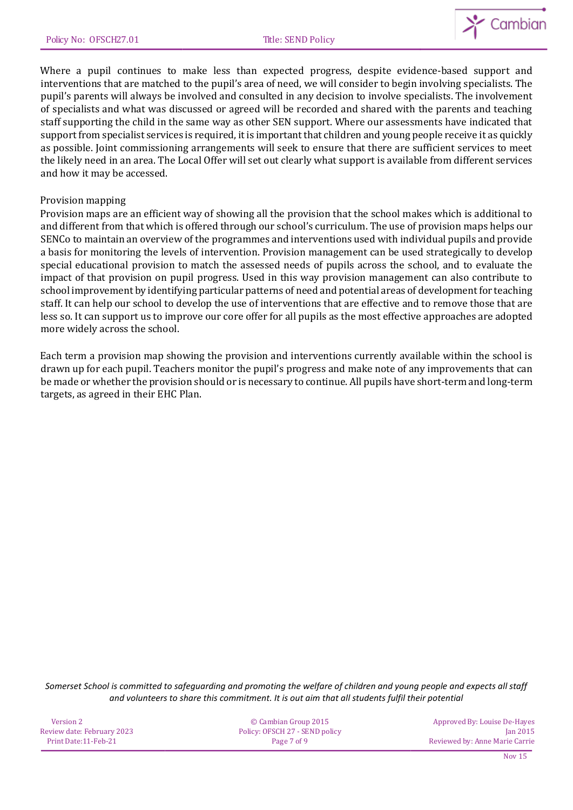

Where a pupil continues to make less than expected progress, despite evidence-based support and interventions that are matched to the pupil's area of need, we will consider to begin involving specialists. The pupil's parents will always be involved and consulted in any decision to involve specialists. The involvement of specialists and what was discussed or agreed will be recorded and shared with the parents and teaching staff supporting the child in the same way as other SEN support. Where our assessments have indicated that support from specialist services is required, it is important that children and young people receive it as quickly as possible. Joint commissioning arrangements will seek to ensure that there are sufficient services to meet the likely need in an area. The Local Offer will set out clearly what support is available from different services and how it may be accessed.

### Provision mapping

Provision maps are an efficient way of showing all the provision that the school makes which is additional to and different from that which is offered through our school's curriculum. The use of provision maps helps our SENCo to maintain an overview of the programmes and interventions used with individual pupils and provide a basis for monitoring the levels of intervention. Provision management can be used strategically to develop special educational provision to match the assessed needs of pupils across the school, and to evaluate the impact of that provision on pupil progress. Used in this way provision management can also contribute to school improvement by identifying particular patterns of need and potential areas of development for teaching staff. It can help our school to develop the use of interventions that are effective and to remove those that are less so. It can support us to improve our core offer for all pupils as the most effective approaches are adopted more widely across the school.

Each term a provision map showing the provision and interventions currently available within the school is drawn up for each pupil. Teachers monitor the pupil's progress and make note of any improvements that can be made or whether the provision should or is necessary to continue. All pupils have short-term and long-term targets, as agreed in their EHC Plan.

| Version 2                  | © Cambian Group 2015           | Approved By: Louise De-Hayes   |
|----------------------------|--------------------------------|--------------------------------|
| Review date: February 2023 | Policy: OFSCH 27 - SEND policy | <b>Jan 2015</b>                |
| Print Date:11-Feb-21       | Page 7 of 9                    | Reviewed by: Anne Marie Carrie |
|                            |                                |                                |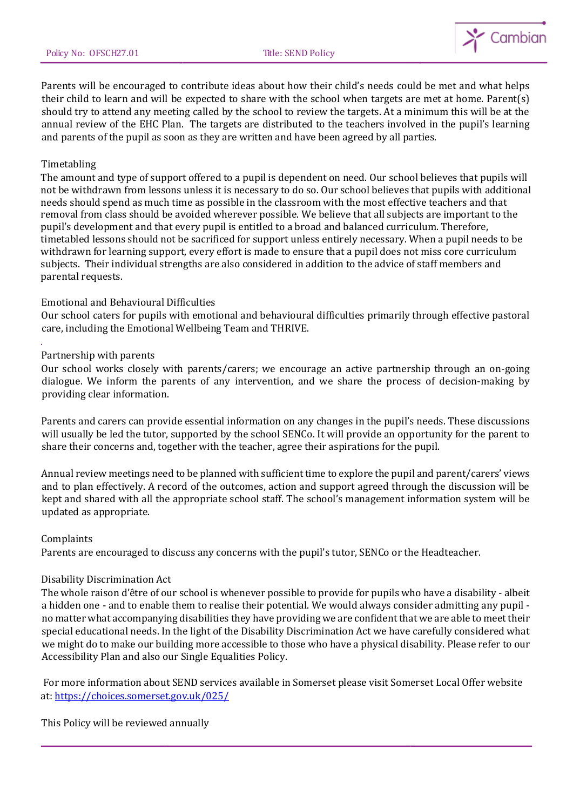

Parents will be encouraged to contribute ideas about how their child's needs could be met and what helps their child to learn and will be expected to share with the school when targets are met at home. Parent(s) should try to attend any meeting called by the school to review the targets. At a minimum this will be at the annual review of the EHC Plan. The targets are distributed to the teachers involved in the pupil's learning and parents of the pupil as soon as they are written and have been agreed by all parties.

### Timetabling

The amount and type of support offered to a pupil is dependent on need. Our school believes that pupils will not be withdrawn from lessons unless it is necessary to do so. Our school believes that pupils with additional needs should spend as much time as possible in the classroom with the most effective teachers and that removal from class should be avoided wherever possible. We believe that all subjects are important to the pupil's development and that every pupil is entitled to a broad and balanced curriculum. Therefore, timetabled lessons should not be sacrificed for support unless entirely necessary. When a pupil needs to be withdrawn for learning support, every effort is made to ensure that a pupil does not miss core curriculum subjects. Their individual strengths are also considered in addition to the advice of staff members and parental requests.

#### Emotional and Behavioural Difficulties

Our school caters for pupils with emotional and behavioural difficulties primarily through effective pastoral care, including the Emotional Wellbeing Team and THRIVE.

#### Partnership with parents

.

Our school works closely with parents/carers; we encourage an active partnership through an on-going dialogue. We inform the parents of any intervention, and we share the process of decision-making by providing clear information.

Parents and carers can provide essential information on any changes in the pupil's needs. These discussions will usually be led the tutor, supported by the school SENCo. It will provide an opportunity for the parent to share their concerns and, together with the teacher, agree their aspirations for the pupil.

Annual review meetings need to be planned with sufficient time to explore the pupil and parent/carers' views and to plan effectively. A record of the outcomes, action and support agreed through the discussion will be kept and shared with all the appropriate school staff. The school's management information system will be updated as appropriate.

#### Complaints

Parents are encouraged to discuss any concerns with the pupil's tutor, SENCo or the Headteacher.

#### Disability Discrimination Act

The whole raison d'être of our school is whenever possible to provide for pupils who have a disability - albeit a hidden one - and to enable them to realise their potential. We would always consider admitting any pupil no matter what accompanying disabilities they have providing we are confident that we are able to meet their special educational needs. In the light of the Disability Discrimination Act we have carefully considered what we might do to make our building more accessible to those who have a physical disability. Please refer to our Accessibility Plan and also our Single Equalities Policy.

For more information about SEND services available in Somerset please visit Somerset Local Offer website at:<https://choices.somerset.gov.uk/025/>

This Policy will be reviewed annually